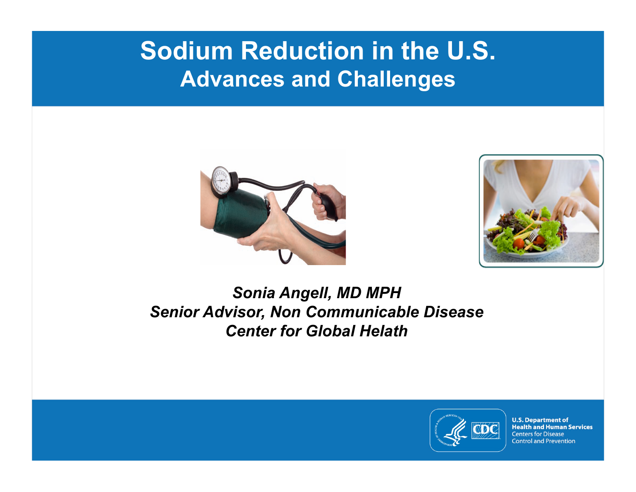# **Sodium Reduction in the U.S. Advances and Challenges**





*Sonia Angell, MD MPH Senior Advisor, Non Communicable Disease Center for Global Helath*

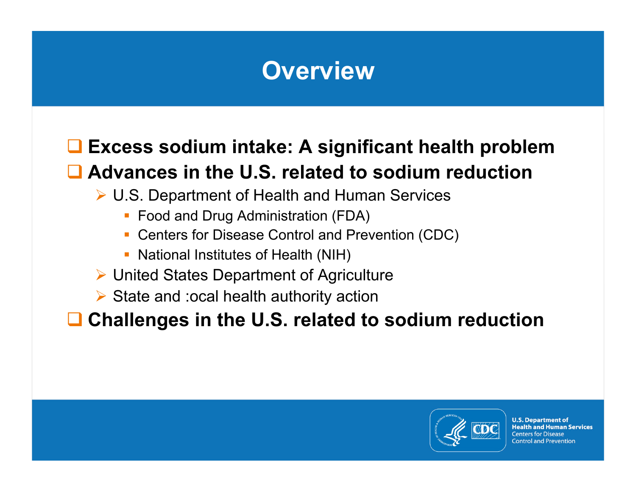# **Overview**

#### **Excess sodium intake: A significant health problem**

#### **Advances in the U.S. related to sodium reduction**

- U.S. Department of Health and Human Services
	- Food and Drug Administration (FDA)
	- Centers for Disease Control and Prevention (CDC)
	- National Institutes of Health (NIH)
- ▶ United States Department of Agriculture
- $\triangleright$  State and : ocal health authority action

#### **Challenges in the U.S. related to sodium reduction**

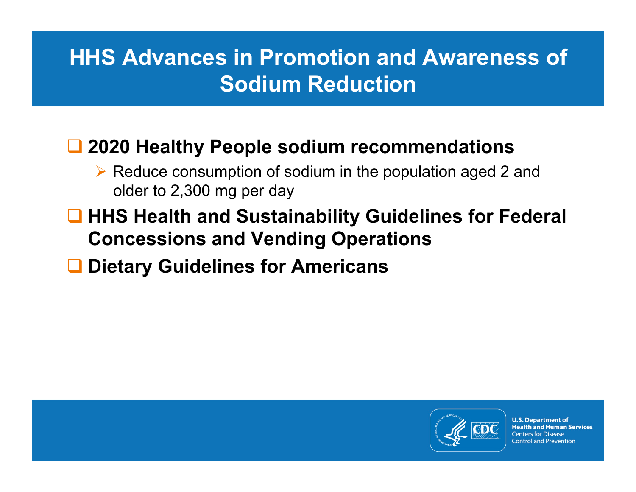# **HHS Advances in Promotion and Awareness of Sodium Reduction**

#### **2020 Healthy People sodium recommendations**

- $\triangleright$  Reduce consumption of sodium in the population aged 2 and older to 2,300 mg per day
- **HHS Health and Sustainability Guidelines for Federal Concessions and Vending Operations**
- **Dietary Guidelines for Americans**

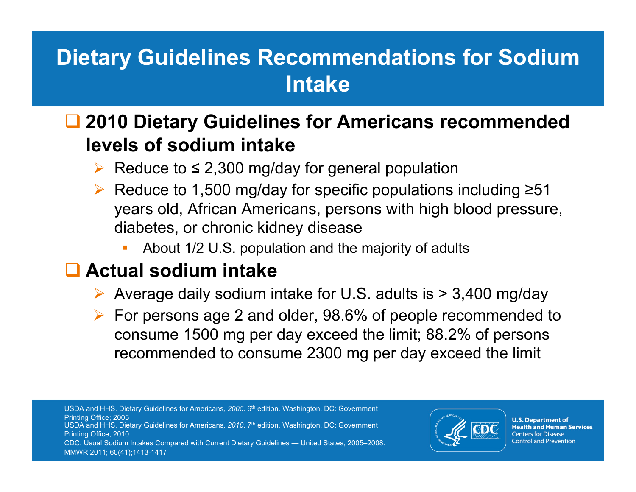# **Dietary Guidelines Recommendations for Sodium Intake**

#### **2010 Dietary Guidelines for Americans recommended levels of sodium intake**

- Reduce to  $\leq$  2,300 mg/day for general population
- Reduce to 1,500 mg/day for specific populations including ≥51 years old, African Americans, persons with high blood pressure, diabetes, or chronic kidney disease
	- About 1/2 U.S. population and the majority of adults

#### **Actual sodium intake**

- $\triangleright$  Average daily sodium intake for U.S. adults is  $> 3,400$  mg/day
- $\triangleright$  For persons age 2 and older, 98.6% of people recommended to consume 1500 mg per day exceed the limit; 88.2% of persons recommended to consume 2300 mg per day exceed the limit

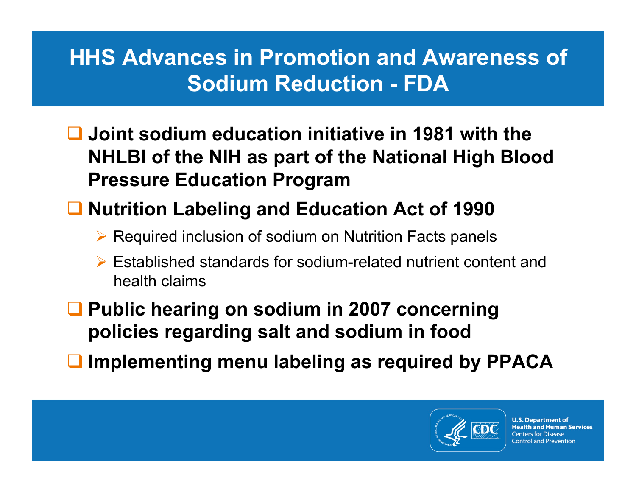# **HHS Advances in Promotion and Awareness of Sodium Reduction - FDA**

- **Joint sodium education initiative in 1981 with the NHLBI of the NIH as part of the National High Blood Pressure Education Program**
- Nutrition Labeling and Education Act of 1990
	- $\triangleright$  Required inclusion of sodium on Nutrition Facts panels
	- Established standards for sodium-related nutrient content and health claims
- Public hearing on sodium in 2007 concerning **policies regarding salt and sodium in food**
- **Implementing menu labeling as required by PPACA**

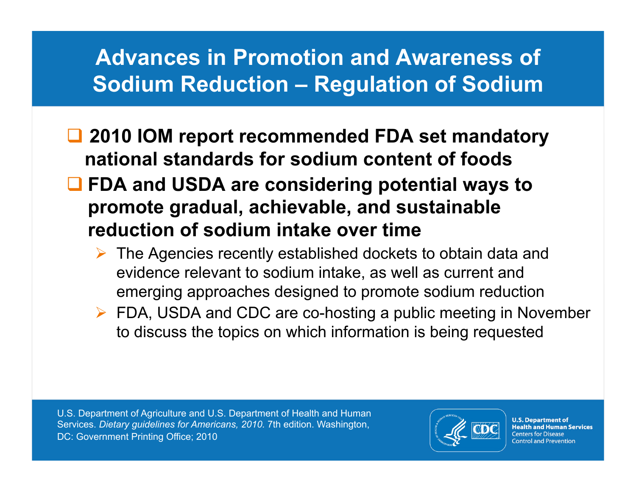## **Advances in Promotion and Awareness of Sodium Reduction – Regulation of Sodium**

- **2010 IOM report recommended FDA set mandatory national standards for sodium content of foods**
- **FDA and USDA are considering potential ways to promote gradual, achievable, and sustainable reduction of sodium intake over time** 
	- $\triangleright$  The Agencies recently established dockets to obtain data and evidence relevant to sodium intake, as well as current and emerging approaches designed to promote sodium reduction
	- $\triangleright$  FDA, USDA and CDC are co-hosting a public meeting in November to discuss the topics on which information is being requested

U.S. Department of Agriculture and U.S. Department of Health and Human Services. *Dietary guidelines for Americans, 2010.* 7th edition. Washington, DC: Government Printing Office; 2010

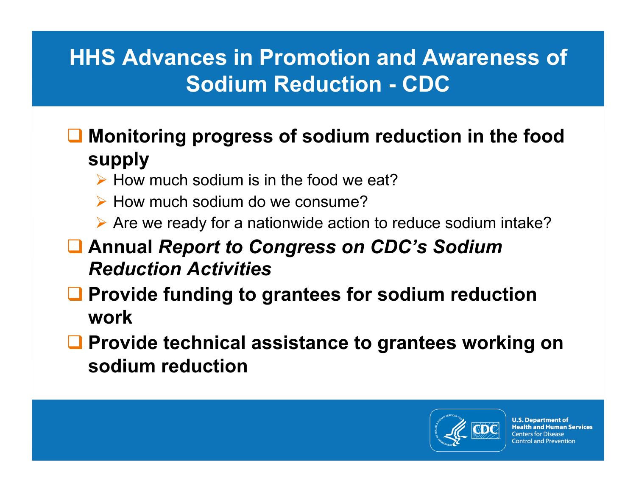# **HHS Advances in Promotion and Awareness of Sodium Reduction - CDC**

#### **Monitoring progress of sodium reduction in the food supply**

- $\triangleright$  How much sodium is in the food we eat?
- $\triangleright$  How much sodium do we consume?
- $\triangleright$  Are we ready for a nationwide action to reduce sodium intake?
- **Annual** *Report to Congress on CDC's Sodium Reduction Activities*
- **Q** Provide funding to grantees for sodium reduction **work**
- Provide technical assistance to grantees working on **sodium reduction**

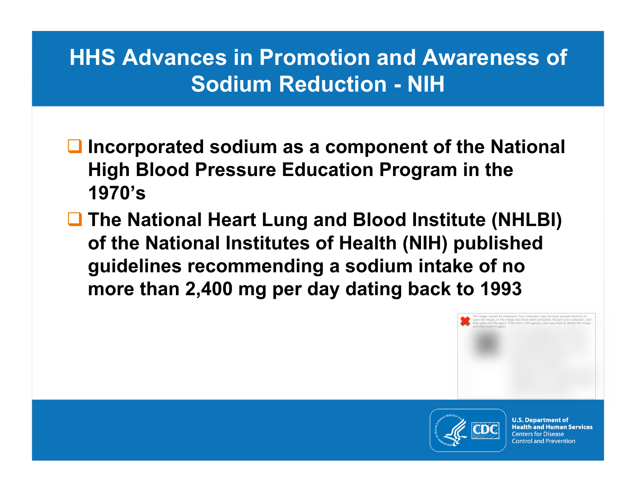## **HHS Advances in Promotion and Awareness of Sodium Reduction - NIH**

- **Incorporated sodium as a component of the National High Blood Pressure Education Program in the 1970's**
- **The National Heart Lung and Blood Institute (NHLBI) of the National Institutes of Health (NIH) published guidelines recommending a sodium intake of no more than 2,400 mg per day dating back to 1993**



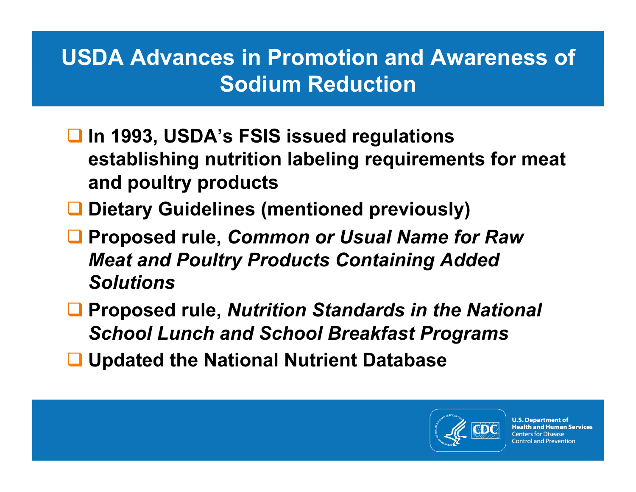# **USDA Advances in Promotion and Awareness of Sodium Reduction**

- **In 1993, USDA's FSIS issued regulations establishing nutrition labeling requirements for meat and poultry products**
- **Dietary Guidelines (mentioned previously)**
- **Proposed rule,** *Common or Usual Name for Raw Meat and Poultry Products Containing Added Solutions*
- **Proposed rule,** *Nutrition Standards in the National School Lunch and School Breakfast Programs*
- **Updated the National Nutrient Database**

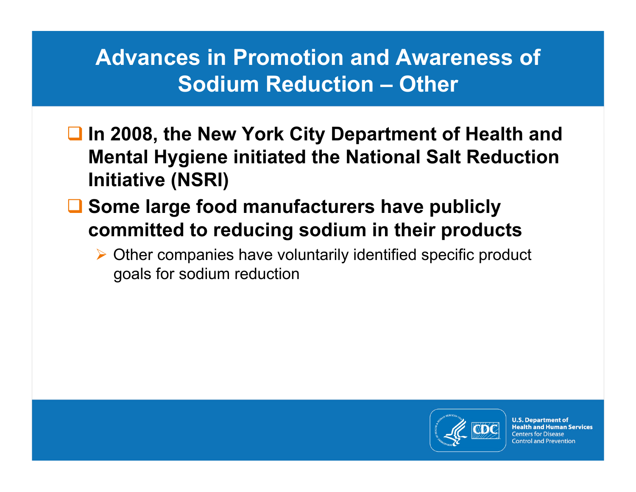## **Advances in Promotion and Awareness of Sodium Reduction – Other**

- **In 2008, the New York City Department of Health and Mental Hygiene initiated the National Salt Reduction Initiative (NSRI)**
- Some large food manufacturers have publicly **committed to reducing sodium in their products** 
	- $\triangleright$  Other companies have voluntarily identified specific product goals for sodium reduction

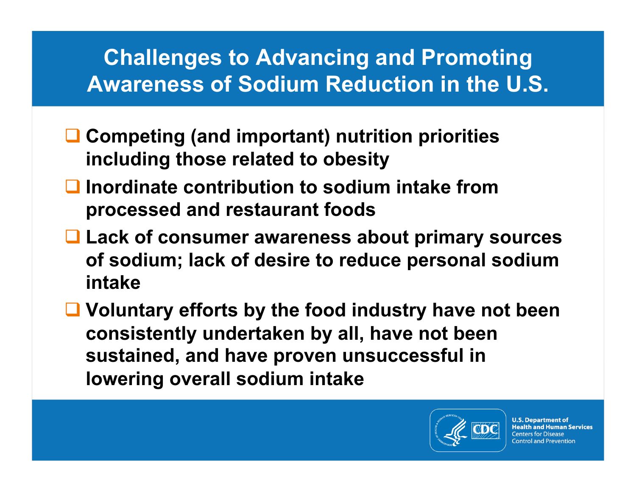# **Challenges to Advancing and Promoting Awareness of Sodium Reduction in the U.S.**

- **Competing (and important) nutrition priorities including those related to obesity**
- **Inordinate contribution to sodium intake from processed and restaurant foods**
- **Lack of consumer awareness about primary sources of sodium; lack of desire to reduce personal sodium intake**
- **Voluntary efforts by the food industry have not been consistently undertaken by all, have not been sustained, and have proven unsuccessful in lowering overall sodium intake**

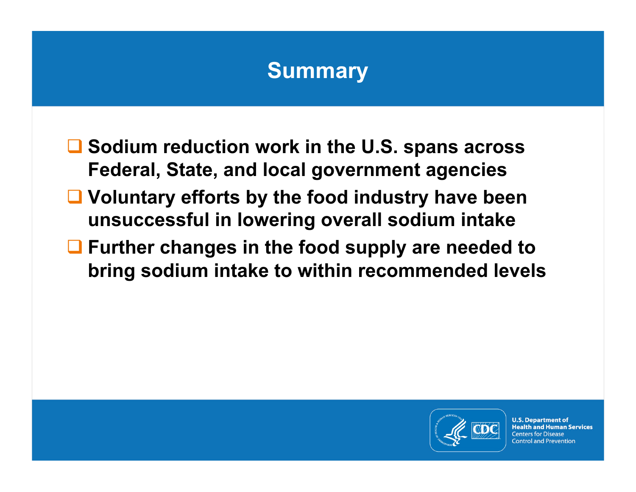#### **Summary**

- Sodium reduction work in the U.S. spans across **Federal, State, and local government agencies**
- **Voluntary efforts by the food industry have been unsuccessful in lowering overall sodium intake**
- **Further changes in the food supply are needed to bring sodium intake to within recommended levels**

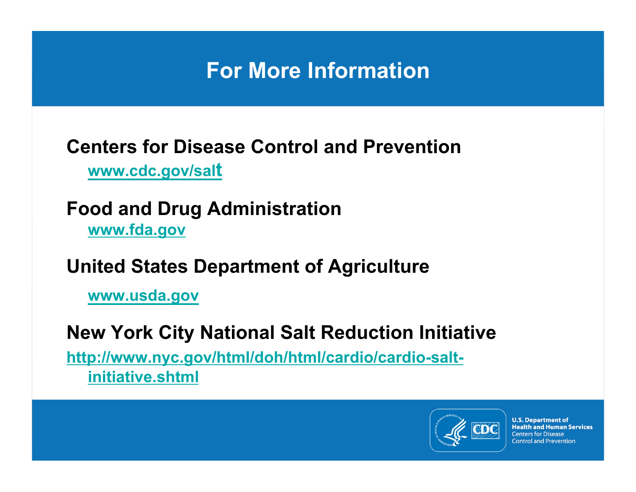#### **For More Information**

#### **Centers for Disease Control and Prevention**

**www.cdc.gov/salt**

**Food and Drug Administration www.fda.gov**

**United States Department of Agriculture** 

**www.usda.gov** 

#### **New York City National Salt Reduction Initiative**

**http://www.nyc.gov/html/doh/html/cardio/cardio-saltinitiative.shtml**

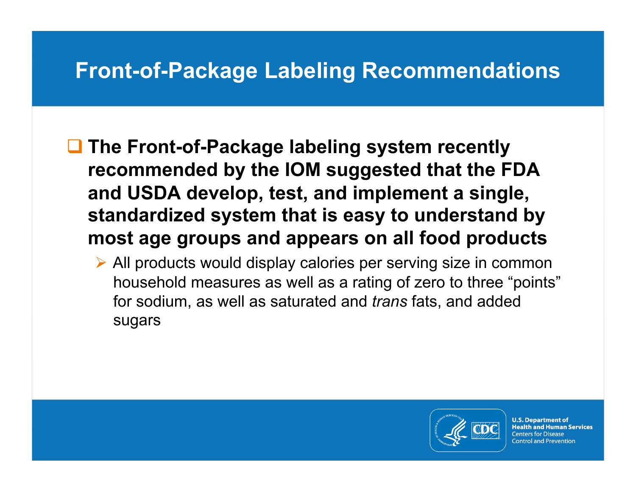#### **Front-of-Package Labeling Recommendations**

- **□ The Front-of-Package labeling system recently recommended by the IOM suggested that the FDA and USDA develop, test, and implement a single, standardized system that is easy to understand by most age groups and appears on all food products** 
	- All products would display calories per serving size in common household measures as well as a rating of zero to three "points" for sodium, as well as saturated and *trans* fats, and added sugars